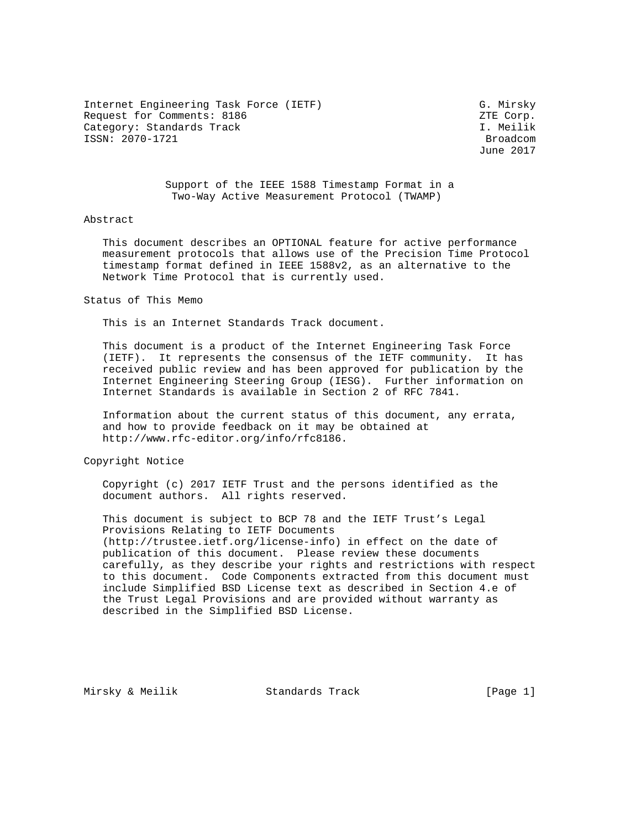Internet Engineering Task Force (IETF) G. Mirsky Request for Comments: 8186 Comments: 8186 Category: Standards Track I. Meilik ISSN: 2070-1721 Broadcom

June 2017

 Support of the IEEE 1588 Timestamp Format in a Two-Way Active Measurement Protocol (TWAMP)

### Abstract

 This document describes an OPTIONAL feature for active performance measurement protocols that allows use of the Precision Time Protocol timestamp format defined in IEEE 1588v2, as an alternative to the Network Time Protocol that is currently used.

#### Status of This Memo

This is an Internet Standards Track document.

 This document is a product of the Internet Engineering Task Force (IETF). It represents the consensus of the IETF community. It has received public review and has been approved for publication by the Internet Engineering Steering Group (IESG). Further information on Internet Standards is available in Section 2 of RFC 7841.

 Information about the current status of this document, any errata, and how to provide feedback on it may be obtained at http://www.rfc-editor.org/info/rfc8186.

Copyright Notice

 Copyright (c) 2017 IETF Trust and the persons identified as the document authors. All rights reserved.

 This document is subject to BCP 78 and the IETF Trust's Legal Provisions Relating to IETF Documents (http://trustee.ietf.org/license-info) in effect on the date of publication of this document. Please review these documents carefully, as they describe your rights and restrictions with respect to this document. Code Components extracted from this document must include Simplified BSD License text as described in Section 4.e of the Trust Legal Provisions and are provided without warranty as described in the Simplified BSD License.

Mirsky & Meilik Standards Track [Page 1]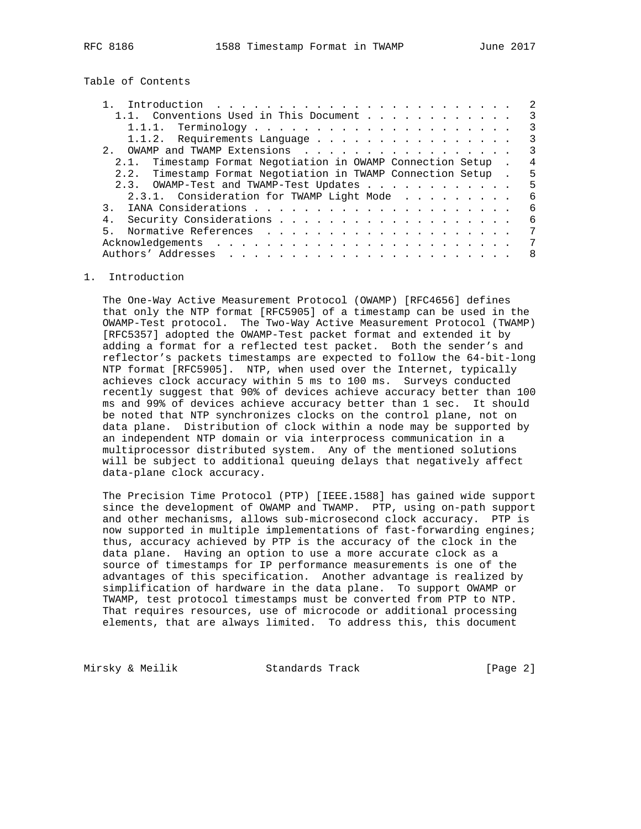Table of Contents

|                                                              | 2                       |
|--------------------------------------------------------------|-------------------------|
| 1.1. Conventions Used in This Document                       | 3                       |
|                                                              | 3                       |
| 1.1.2. Requirements Language                                 | 3                       |
|                                                              | $\overline{\mathbf{3}}$ |
| 2.1. Timestamp Format Negotiation in OWAMP Connection Setup. | 4                       |
| 2.2. Timestamp Format Negotiation in TWAMP Connection Setup. | 5                       |
| 2.3. OWAMP-Test and TWAMP-Test Updates                       | -5                      |
| 2.3.1. Consideration for TWAMP Light Mode                    | 6                       |
|                                                              | 6                       |
| 4.                                                           | 6                       |
| $5 -$                                                        | 7                       |
|                                                              | 7                       |
|                                                              | 8                       |
|                                                              |                         |

## 1. Introduction

 The One-Way Active Measurement Protocol (OWAMP) [RFC4656] defines that only the NTP format [RFC5905] of a timestamp can be used in the OWAMP-Test protocol. The Two-Way Active Measurement Protocol (TWAMP) [RFC5357] adopted the OWAMP-Test packet format and extended it by adding a format for a reflected test packet. Both the sender's and reflector's packets timestamps are expected to follow the 64-bit-long NTP format [RFC5905]. NTP, when used over the Internet, typically achieves clock accuracy within 5 ms to 100 ms. Surveys conducted recently suggest that 90% of devices achieve accuracy better than 100 ms and 99% of devices achieve accuracy better than 1 sec. It should be noted that NTP synchronizes clocks on the control plane, not on data plane. Distribution of clock within a node may be supported by an independent NTP domain or via interprocess communication in a multiprocessor distributed system. Any of the mentioned solutions will be subject to additional queuing delays that negatively affect data-plane clock accuracy.

 The Precision Time Protocol (PTP) [IEEE.1588] has gained wide support since the development of OWAMP and TWAMP. PTP, using on-path support and other mechanisms, allows sub-microsecond clock accuracy. PTP is now supported in multiple implementations of fast-forwarding engines; thus, accuracy achieved by PTP is the accuracy of the clock in the data plane. Having an option to use a more accurate clock as a source of timestamps for IP performance measurements is one of the advantages of this specification. Another advantage is realized by simplification of hardware in the data plane. To support OWAMP or TWAMP, test protocol timestamps must be converted from PTP to NTP. That requires resources, use of microcode or additional processing elements, that are always limited. To address this, this document

Mirsky & Meilik  $\qquad \qquad$  Standards Track  $\qquad \qquad$  [Page 2]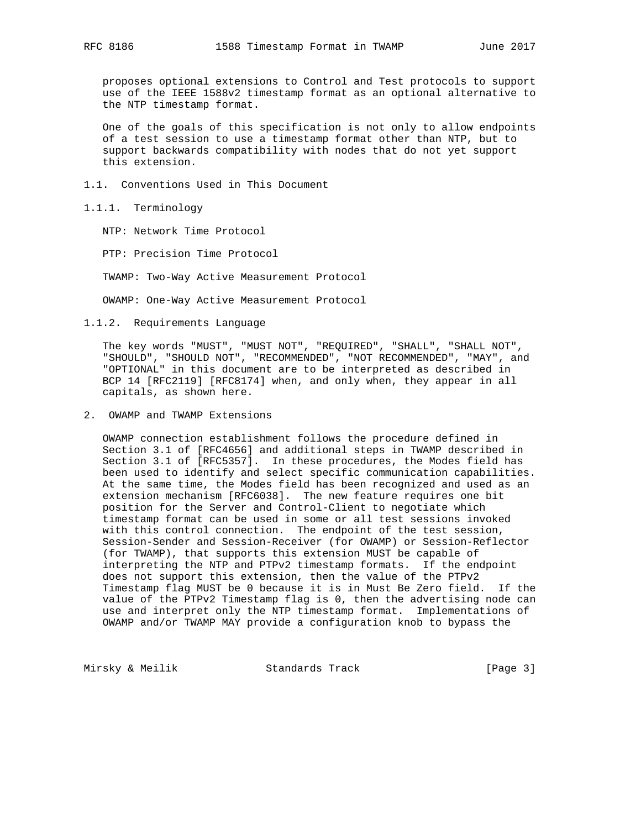proposes optional extensions to Control and Test protocols to support use of the IEEE 1588v2 timestamp format as an optional alternative to the NTP timestamp format.

 One of the goals of this specification is not only to allow endpoints of a test session to use a timestamp format other than NTP, but to support backwards compatibility with nodes that do not yet support this extension.

1.1. Conventions Used in This Document

### 1.1.1. Terminology

NTP: Network Time Protocol

PTP: Precision Time Protocol

TWAMP: Two-Way Active Measurement Protocol

OWAMP: One-Way Active Measurement Protocol

1.1.2. Requirements Language

 The key words "MUST", "MUST NOT", "REQUIRED", "SHALL", "SHALL NOT", "SHOULD", "SHOULD NOT", "RECOMMENDED", "NOT RECOMMENDED", "MAY", and "OPTIONAL" in this document are to be interpreted as described in BCP 14 [RFC2119] [RFC8174] when, and only when, they appear in all capitals, as shown here.

2. OWAMP and TWAMP Extensions

 OWAMP connection establishment follows the procedure defined in Section 3.1 of [RFC4656] and additional steps in TWAMP described in Section 3.1 of [RFC5357]. In these procedures, the Modes field has been used to identify and select specific communication capabilities. At the same time, the Modes field has been recognized and used as an extension mechanism [RFC6038]. The new feature requires one bit position for the Server and Control-Client to negotiate which timestamp format can be used in some or all test sessions invoked with this control connection. The endpoint of the test session, Session-Sender and Session-Receiver (for OWAMP) or Session-Reflector (for TWAMP), that supports this extension MUST be capable of interpreting the NTP and PTPv2 timestamp formats. If the endpoint does not support this extension, then the value of the PTPv2 Timestamp flag MUST be 0 because it is in Must Be Zero field. If the value of the PTPv2 Timestamp flag is 0, then the advertising node can use and interpret only the NTP timestamp format. Implementations of OWAMP and/or TWAMP MAY provide a configuration knob to bypass the

Mirsky & Meilik Standards Track [Page 3]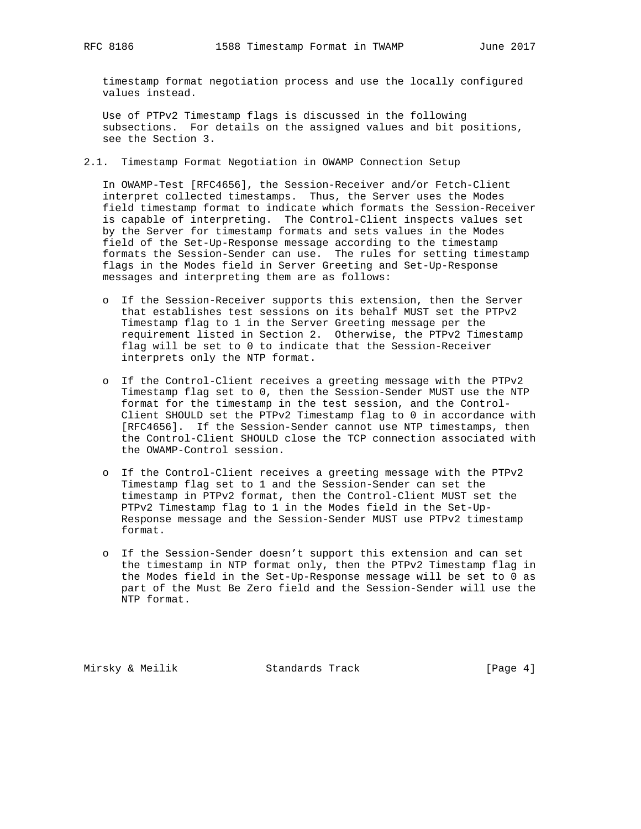timestamp format negotiation process and use the locally configured values instead.

 Use of PTPv2 Timestamp flags is discussed in the following subsections. For details on the assigned values and bit positions, see the Section 3.

2.1. Timestamp Format Negotiation in OWAMP Connection Setup

 In OWAMP-Test [RFC4656], the Session-Receiver and/or Fetch-Client interpret collected timestamps. Thus, the Server uses the Modes field timestamp format to indicate which formats the Session-Receiver is capable of interpreting. The Control-Client inspects values set by the Server for timestamp formats and sets values in the Modes field of the Set-Up-Response message according to the timestamp formats the Session-Sender can use. The rules for setting timestamp flags in the Modes field in Server Greeting and Set-Up-Response messages and interpreting them are as follows:

- o If the Session-Receiver supports this extension, then the Server that establishes test sessions on its behalf MUST set the PTPv2 Timestamp flag to 1 in the Server Greeting message per the requirement listed in Section 2. Otherwise, the PTPv2 Timestamp flag will be set to 0 to indicate that the Session-Receiver interprets only the NTP format.
- o If the Control-Client receives a greeting message with the PTPv2 Timestamp flag set to 0, then the Session-Sender MUST use the NTP format for the timestamp in the test session, and the Control- Client SHOULD set the PTPv2 Timestamp flag to 0 in accordance with [RFC4656]. If the Session-Sender cannot use NTP timestamps, then the Control-Client SHOULD close the TCP connection associated with the OWAMP-Control session.
- o If the Control-Client receives a greeting message with the PTPv2 Timestamp flag set to 1 and the Session-Sender can set the timestamp in PTPv2 format, then the Control-Client MUST set the PTPv2 Timestamp flag to 1 in the Modes field in the Set-Up- Response message and the Session-Sender MUST use PTPv2 timestamp format.
- o If the Session-Sender doesn't support this extension and can set the timestamp in NTP format only, then the PTPv2 Timestamp flag in the Modes field in the Set-Up-Response message will be set to 0 as part of the Must Be Zero field and the Session-Sender will use the NTP format.

Mirsky & Meilik  $\sim$  Standards Track  $\sim$  [Page 4]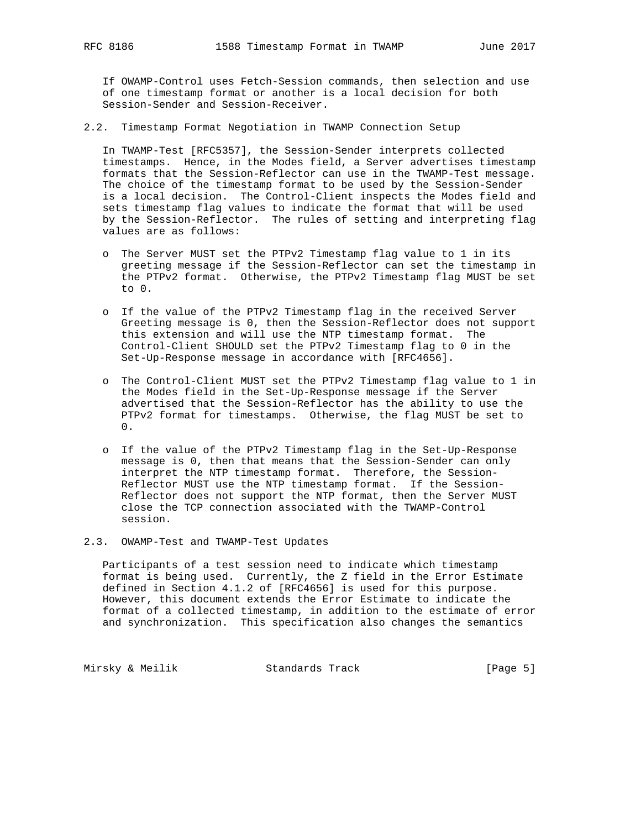If OWAMP-Control uses Fetch-Session commands, then selection and use of one timestamp format or another is a local decision for both Session-Sender and Session-Receiver.

2.2. Timestamp Format Negotiation in TWAMP Connection Setup

 In TWAMP-Test [RFC5357], the Session-Sender interprets collected timestamps. Hence, in the Modes field, a Server advertises timestamp formats that the Session-Reflector can use in the TWAMP-Test message. The choice of the timestamp format to be used by the Session-Sender is a local decision. The Control-Client inspects the Modes field and sets timestamp flag values to indicate the format that will be used by the Session-Reflector. The rules of setting and interpreting flag values are as follows:

- o The Server MUST set the PTPv2 Timestamp flag value to 1 in its greeting message if the Session-Reflector can set the timestamp in the PTPv2 format. Otherwise, the PTPv2 Timestamp flag MUST be set to 0.
- o If the value of the PTPv2 Timestamp flag in the received Server Greeting message is 0, then the Session-Reflector does not support this extension and will use the NTP timestamp format. The Control-Client SHOULD set the PTPv2 Timestamp flag to 0 in the Set-Up-Response message in accordance with [RFC4656].
- o The Control-Client MUST set the PTPv2 Timestamp flag value to 1 in the Modes field in the Set-Up-Response message if the Server advertised that the Session-Reflector has the ability to use the PTPv2 format for timestamps. Otherwise, the flag MUST be set to 0.
- o If the value of the PTPv2 Timestamp flag in the Set-Up-Response message is 0, then that means that the Session-Sender can only interpret the NTP timestamp format. Therefore, the Session- Reflector MUST use the NTP timestamp format. If the Session- Reflector does not support the NTP format, then the Server MUST close the TCP connection associated with the TWAMP-Control session.
- 2.3. OWAMP-Test and TWAMP-Test Updates

 Participants of a test session need to indicate which timestamp format is being used. Currently, the Z field in the Error Estimate defined in Section 4.1.2 of [RFC4656] is used for this purpose. However, this document extends the Error Estimate to indicate the format of a collected timestamp, in addition to the estimate of error and synchronization. This specification also changes the semantics

Mirsky & Meilik **Standards Track** [Page 5]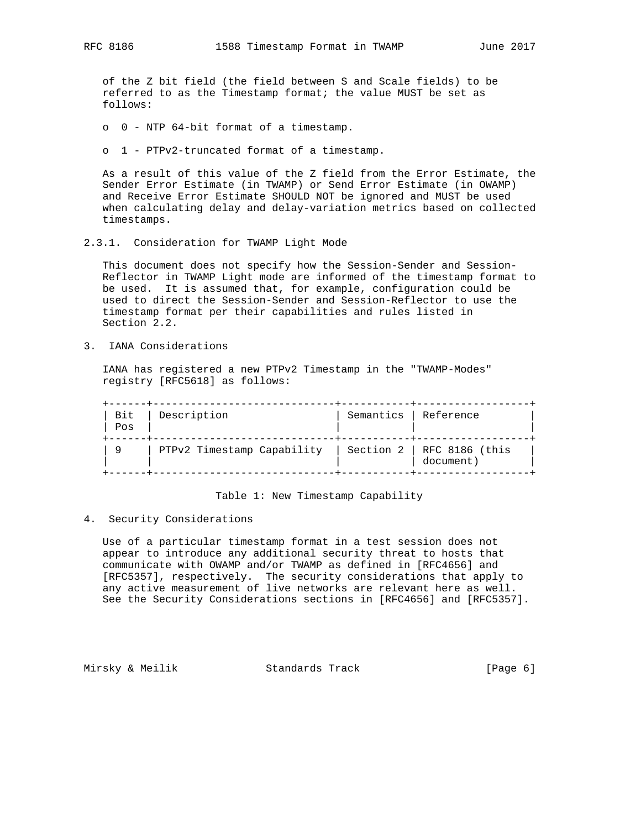of the Z bit field (the field between S and Scale fields) to be referred to as the Timestamp format; the value MUST be set as follows:

o 0 - NTP 64-bit format of a timestamp.

o 1 - PTPv2-truncated format of a timestamp.

 As a result of this value of the Z field from the Error Estimate, the Sender Error Estimate (in TWAMP) or Send Error Estimate (in OWAMP) and Receive Error Estimate SHOULD NOT be ignored and MUST be used when calculating delay and delay-variation metrics based on collected timestamps.

2.3.1. Consideration for TWAMP Light Mode

 This document does not specify how the Session-Sender and Session- Reflector in TWAMP Light mode are informed of the timestamp format to be used. It is assumed that, for example, configuration could be used to direct the Session-Sender and Session-Reflector to use the timestamp format per their capabilities and rules listed in Section 2.2.

3. IANA Considerations

 IANA has registered a new PTPv2 Timestamp in the "TWAMP-Modes" registry [RFC5618] as follows:

| Bit<br>Pos | Description                | Semantics   Reference |                                              |
|------------|----------------------------|-----------------------|----------------------------------------------|
| 9          | PTPv2 Timestamp Capability |                       | Section $2 \mid$ RFC 8186 (this<br>document) |

#### Table 1: New Timestamp Capability

4. Security Considerations

 Use of a particular timestamp format in a test session does not appear to introduce any additional security threat to hosts that communicate with OWAMP and/or TWAMP as defined in [RFC4656] and [RFC5357], respectively. The security considerations that apply to any active measurement of live networks are relevant here as well. See the Security Considerations sections in [RFC4656] and [RFC5357].

Mirsky & Meilik Standards Track [Page 6]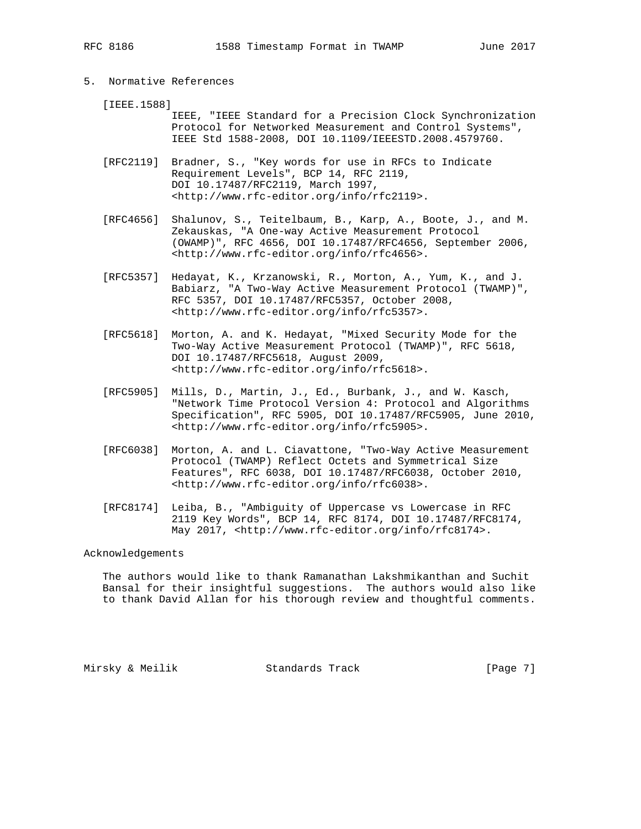# 5. Normative References

[IEEE.1588]

 IEEE, "IEEE Standard for a Precision Clock Synchronization Protocol for Networked Measurement and Control Systems", IEEE Std 1588-2008, DOI 10.1109/IEEESTD.2008.4579760.

 [RFC2119] Bradner, S., "Key words for use in RFCs to Indicate Requirement Levels", BCP 14, RFC 2119, DOI 10.17487/RFC2119, March 1997, <http://www.rfc-editor.org/info/rfc2119>.

- [RFC4656] Shalunov, S., Teitelbaum, B., Karp, A., Boote, J., and M. Zekauskas, "A One-way Active Measurement Protocol (OWAMP)", RFC 4656, DOI 10.17487/RFC4656, September 2006, <http://www.rfc-editor.org/info/rfc4656>.
- [RFC5357] Hedayat, K., Krzanowski, R., Morton, A., Yum, K., and J. Babiarz, "A Two-Way Active Measurement Protocol (TWAMP)", RFC 5357, DOI 10.17487/RFC5357, October 2008, <http://www.rfc-editor.org/info/rfc5357>.
- [RFC5618] Morton, A. and K. Hedayat, "Mixed Security Mode for the Two-Way Active Measurement Protocol (TWAMP)", RFC 5618, DOI 10.17487/RFC5618, August 2009, <http://www.rfc-editor.org/info/rfc5618>.
- [RFC5905] Mills, D., Martin, J., Ed., Burbank, J., and W. Kasch, "Network Time Protocol Version 4: Protocol and Algorithms Specification", RFC 5905, DOI 10.17487/RFC5905, June 2010, <http://www.rfc-editor.org/info/rfc5905>.
- [RFC6038] Morton, A. and L. Ciavattone, "Two-Way Active Measurement Protocol (TWAMP) Reflect Octets and Symmetrical Size Features", RFC 6038, DOI 10.17487/RFC6038, October 2010, <http://www.rfc-editor.org/info/rfc6038>.
- [RFC8174] Leiba, B., "Ambiguity of Uppercase vs Lowercase in RFC 2119 Key Words", BCP 14, RFC 8174, DOI 10.17487/RFC8174, May 2017, <http://www.rfc-editor.org/info/rfc8174>.

### Acknowledgements

 The authors would like to thank Ramanathan Lakshmikanthan and Suchit Bansal for their insightful suggestions. The authors would also like to thank David Allan for his thorough review and thoughtful comments.

Mirsky & Meilik  $S$ tandards Track  $[Page 7]$